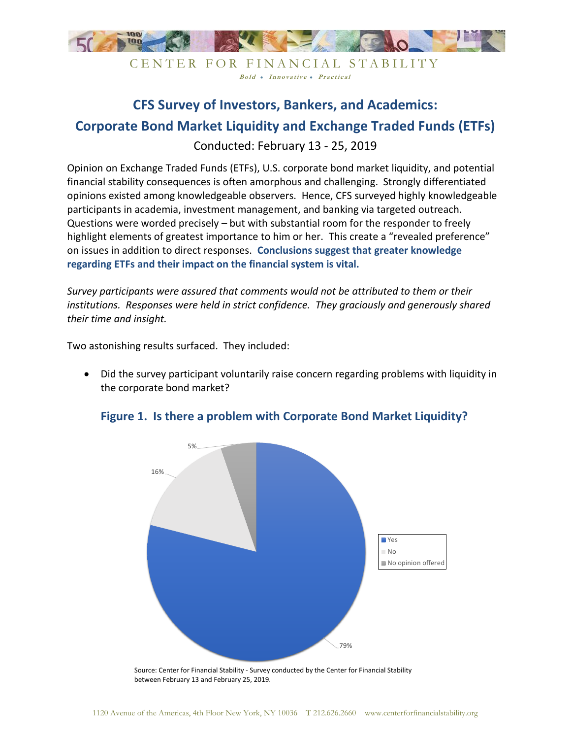

CENTER FOR FINANCIAL STABILITY Bold • Innovative • Practical

## **CFS Survey of Investors, Bankers, and Academics: Corporate Bond Market Liquidity and Exchange Traded Funds (ETFs)**

Conducted: February 13 - 25, 2019

Opinion on Exchange Traded Funds (ETFs), U.S. corporate bond market liquidity, and potential financial stability consequences is often amorphous and challenging. Strongly differentiated opinions existed among knowledgeable observers. Hence, CFS surveyed highly knowledgeable participants in academia, investment management, and banking via targeted outreach. Questions were worded precisely – but with substantial room for the responder to freely highlight elements of greatest importance to him or her. This create a "revealed preference" on issues in addition to direct responses. **Conclusions suggest that greater knowledge regarding ETFs and their impact on the financial system is vital.**

*Survey participants were assured that comments would not be attributed to them or their institutions. Responses were held in strict confidence. They graciously and generously shared their time and insight.*

Two astonishing results surfaced. They included:

• Did the survey participant voluntarily raise concern regarding problems with liquidity in the corporate bond market?



## **Figure 1. Is there a problem with Corporate Bond Market Liquidity?**

Source: Center for Financial Stability - Survey conducted by the Center for Financial Stability between February 13 and February 25, 2019.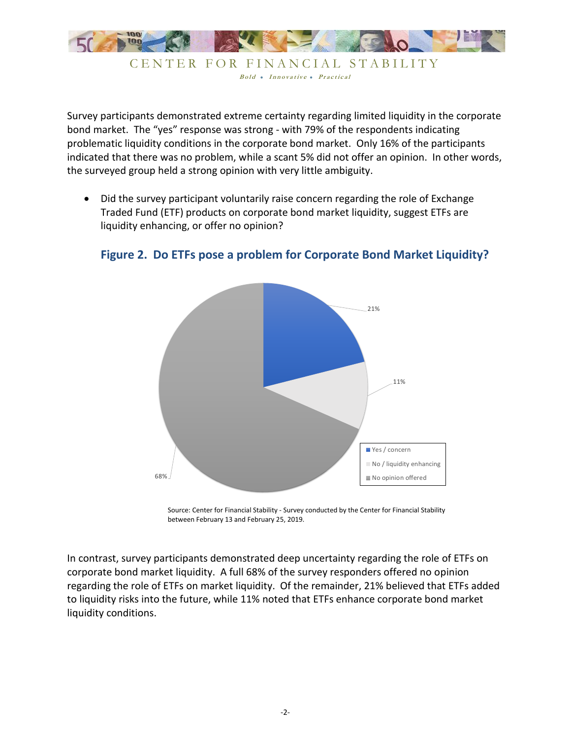

CENTER FOR FINANCIAL STABILITY Bold • Innovative • Practical

Survey participants demonstrated extreme certainty regarding limited liquidity in the corporate bond market. The "yes" response was strong - with 79% of the respondents indicating problematic liquidity conditions in the corporate bond market. Only 16% of the participants indicated that there was no problem, while a scant 5% did not offer an opinion. In other words, the surveyed group held a strong opinion with very little ambiguity.

• Did the survey participant voluntarily raise concern regarding the role of Exchange Traded Fund (ETF) products on corporate bond market liquidity, suggest ETFs are liquidity enhancing, or offer no opinion?



## **Figure 2. Do ETFs pose a problem for Corporate Bond Market Liquidity?**

Source: Center for Financial Stability - Survey conducted by the Center for Financial Stability between February 13 and February 25, 2019.

In contrast, survey participants demonstrated deep uncertainty regarding the role of ETFs on corporate bond market liquidity. A full 68% of the survey responders offered no opinion regarding the role of ETFs on market liquidity. Of the remainder, 21% believed that ETFs added to liquidity risks into the future, while 11% noted that ETFs enhance corporate bond market liquidity conditions.